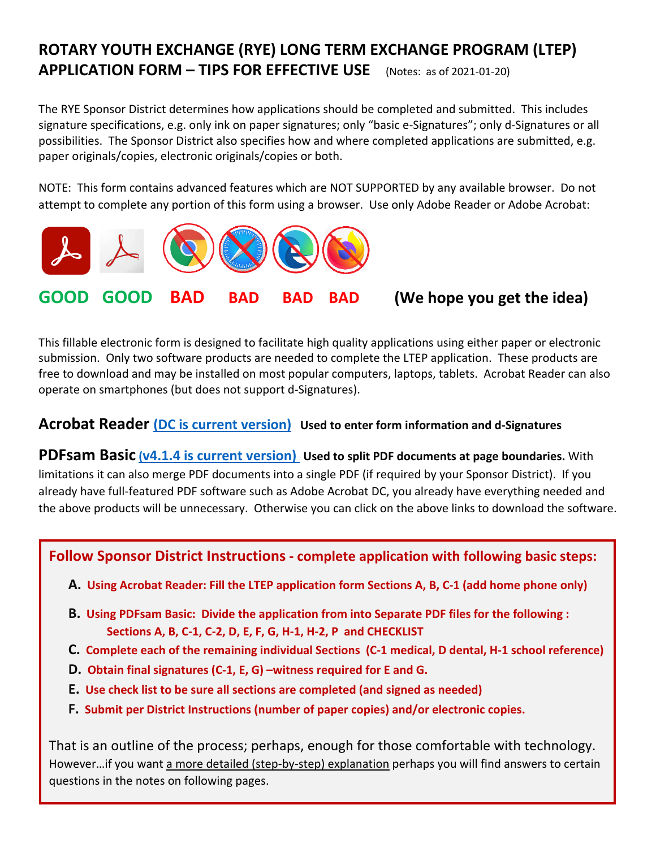# **ROTARY YOUTH EXCHANGE (RYE) LONG TERM EXCHANGE PROGRAM (LTEP) APPLICATION FORM – TIPS FOR EFFECTIVE USE** (Notes: as of <sup>2021</sup>‐01‐20)

The RYE Sponsor District determines how applications should be completed and submitted. This includes signature specifications, e.g. only ink on paper signatures; only "basic e‐Signatures"; only d‐Signatures or all possibilities. The Sponsor District also specifies how and where completed applications are submitted, e.g. paper originals/copies, electronic originals/copies or both.

NOTE: This form contains advanced features which are NOT SUPPORTED by any available browser. Do not attempt to complete any portion of this form using a browser. Use only Adobe Reader or Adobe Acrobat:



This fillable electronic form is designed to facilitate high quality applications using either paper or electronic submission. Only two software products are needed to complete the LTEP application. These products are free to download and may be installed on most popular computers, laptops, tablets. Acrobat Reader can also operate on smartphones (but does not support d‐Signatures).

## **Acrobat Reader (DC is current version) Used to enter form information and d‐Signatures**

**PDFsam Basic (v4.1.4 is current version) Used to split PDF documents at page boundaries.** With limitations it can also merge PDF documents into a single PDF (if required by your Sponsor District). If you already have full‐featured PDF software such as Adobe Acrobat DC, you already have everything needed and the above products will be unnecessary. Otherwise you can click on the above links to download the software.

### **Follow Sponsor District Instructions ‐ complete application with following basic steps:**

- A. Using Acrobat Reader: Fill the LTEP application form Sections A, B, C-1 (add home phone only)
- **B. Using PDFsam Basic: Divide the application from into Separate PDF files for the following : Sections A, B, C‐1, C‐2, D, E, F, G, H‐1, H‐2, P and CHECKLIST**
- C. Complete each of the remaining individual Sections (C-1 medical, D dental, H-1 school reference)
- **D. Obtain final signatures (C‐1, E, G) –witness required for E and G.**
- **E. Use check list to be sure all sections are completed (and signed as needed)**
- **F. Submit per District Instructions (number of paper copies) and/or electronic copies.**

That is an outline of the process; perhaps, enough for those comfortable with technology. However…if you want a more detailed (step-by-step) explanation perhaps you will find answers to certain questions in the notes on following pages.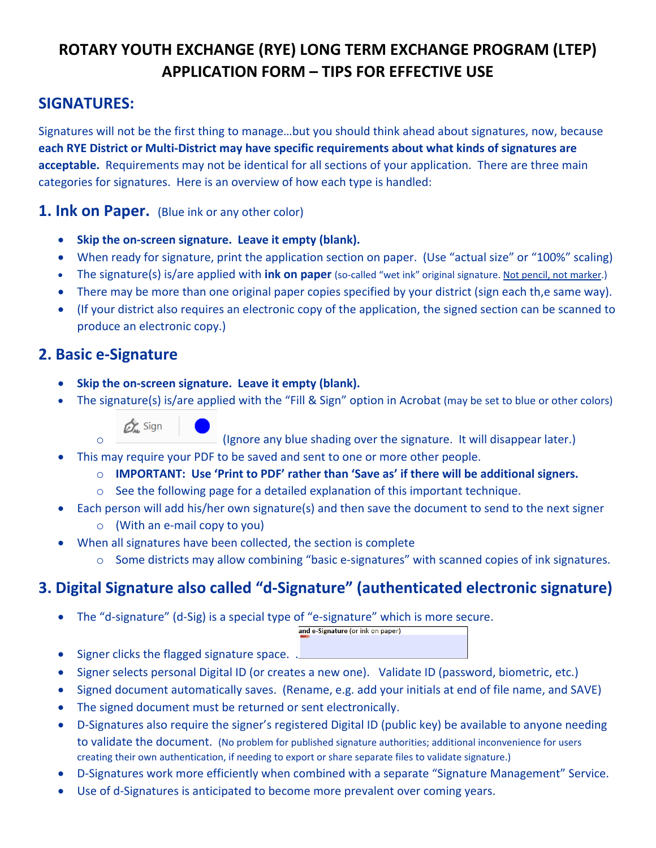# **ROTARY YOUTH EXCHANGE (RYE) LONG TERM EXCHANGE PROGRAM (LTEP) APPLICATION FORM – TIPS FOR EFFECTIVE USE**

# **SIGNATURES:**

Signatures will not be the first thing to manage…but you should think ahead about signatures, now, because **each RYE District or Multi‐District may have specific requirements about what kinds of signatures are acceptable.** Requirements may not be identical for all sections of your application. There are three main categories for signatures. Here is an overview of how each type is handled:

**1. Ink on Paper.** (Blue ink or any other color)

- **Skip the on‐screen signature. Leave it empty (blank).**
- When ready for signature, print the application section on paper. (Use "actual size" or "100%" scaling)
- The signature(s) is/are applied with **ink on paper** (so‐called "wet ink" original signature. Not pencil, not marker.)
- There may be more than one original paper copies specified by your district (sign each th,e same way).
- (If your district also requires an electronic copy of the application, the signed section can be scanned to produce an electronic copy.)

# **2. Basic e‐Signature**

- **Skip the on‐screen signature. Leave it empty (blank).**
- The signature(s) is/are applied with the "Fill & Sign" option in Acrobat (may be set to blue or other colors)



(Ignore any blue shading over the signature. It will disappear later.)

This may require your PDF to be saved and sent to one or more other people.

- o **IMPORTANT: Use 'Print to PDF' rather than 'Save as' if there will be additional signers.**
- $\circ$  See the following page for a detailed explanation of this important technique.
- Each person will add his/her own signature(s) and then save the document to send to the next signer o (With an e‐mail copy to you)
- When all signatures have been collected, the section is complete
	- o Some districts may allow combining "basic e‐signatures" with scanned copies of ink signatures.

# **3. Digital Signature also called "d‐Signature" (authenticated electronic signature)**

■ The "d-signature" (d-Sig) is a special type of "e-signature" which is more secure.

and e-Signature (or ink on paper)

- $\bullet$  Signer clicks the flagged signature space.  $\mathbf{I}$
- Signer selects personal Digital ID (or creates a new one). Validate ID (password, biometric, etc.)
- Signed document automatically saves. (Rename, e.g. add your initials at end of file name, and SAVE)
- The signed document must be returned or sent electronically.
- D‐Signatures also require the signer's registered Digital ID (public key) be available to anyone needing to validate the document. (No problem for published signature authorities; additional inconvenience for users creating their own authentication, if needing to export or share separate files to validate signature.)
- D‐Signatures work more efficiently when combined with a separate "Signature Management" Service.
- Use of d-Signatures is anticipated to become more prevalent over coming years.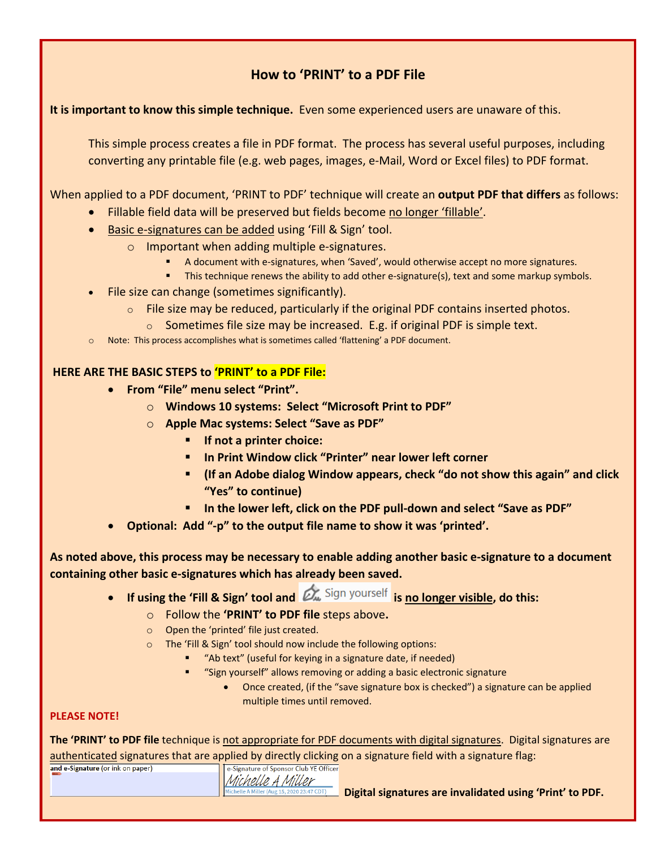## **How to 'PRINT' to a PDF File**

#### **It is important to know this simple technique.** Even some experienced users are unaware of this.

This simple process creates a file in PDF format. The process has several useful purposes, including converting any printable file (e.g. web pages, images, e‐Mail, Word or Excel files) to PDF format.

When applied to a PDF document, 'PRINT to PDF' technique will create an **output PDF that differs** as follows:

- Fillable field data will be preserved but fields become no longer 'fillable'.
- Basic e-signatures can be added using 'Fill & Sign' tool.
	- o Important when adding multiple e‐signatures.
		- A document with e‐signatures, when 'Saved', would otherwise accept no more signatures.
		- This technique renews the ability to add other e-signature(s), text and some markup symbols.
- File size can change (sometimes significantly).
	- $\circ$  File size may be reduced, particularly if the original PDF contains inserted photos.
		- $\circ$  Sometimes file size may be increased. E.g. if original PDF is simple text.
- o Note: This process accomplishes what is sometimes called 'flattening' a PDF document.

#### **HERE ARE THE BASIC STEPS to 'PRINT' to a PDF File:**

- **From "File" menu select "Print".** 
	- o **Windows 10 systems: Select "Microsoft Print to PDF"**
	- o **Apple Mac systems: Select "Save as PDF"**
		- **If not a printer choice:**
		- **In Print Window click "Printer" near lower left corner**
		- **(If an Adobe dialog Window appears, check "do not show this again" and click "Yes" to continue)**
		- **In the lower left, click on the PDF pull‐down and select "Save as PDF"**
- **Optional: Add "‐p" to the output file name to show it was 'printed'.**

### As noted above, this process may be necessary to enable adding another basic e-signature to a document **containing other basic e‐signatures which has already been saved.**

- **If using the 'Fill & Sign' tool and is no longer visible, do this:**
	- o Follow the **'PRINT' to PDF file** steps above**.**
	- o Open the 'printed' file just created.
	- o The 'Fill & Sign' tool should now include the following options:
		- "Ab text" (useful for keying in a signature date, if needed)
		- "Sign yourself" allows removing or adding a basic electronic signature
			- Once created, (if the "save signature box is checked") a signature can be applied multiple times until removed.

#### **PLEASE NOTE!**

**The 'PRINT' to PDF file** technique is not appropriate for PDF documents with digital signatures. Digital signatures are authenticated signatures that are applied by directly clicking on a signature field with a signature flag:

| and e-Signature (or ink on paper) |  | e-Signature of Sponsor Club YE Offi        |
|-----------------------------------|--|--------------------------------------------|
|                                   |  | Michelle A Miller                          |
|                                   |  | Michelle A Miller (Aug 15, 2020 23:47 CDT) |

**Digital signatures are invalidated using 'Print' to PDF.**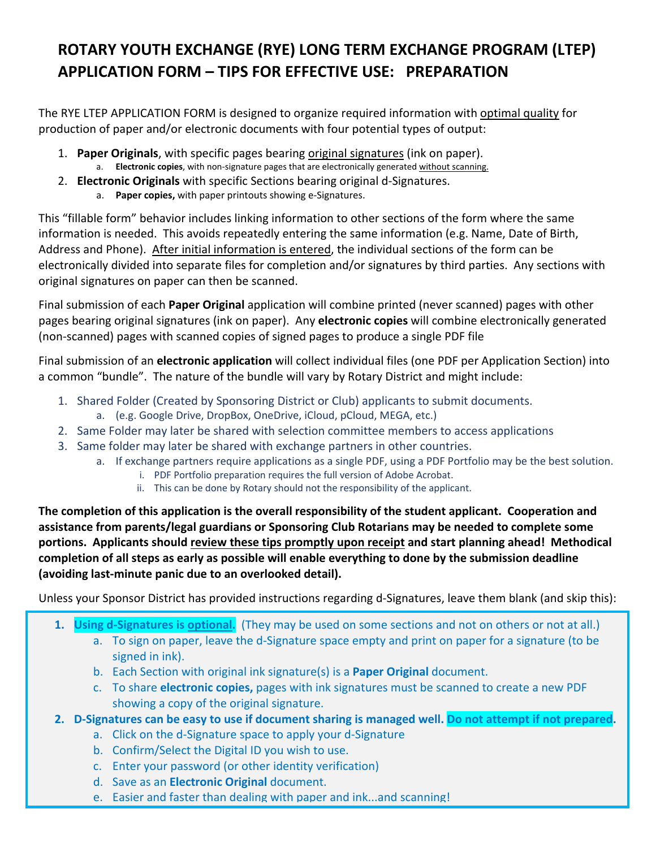# **ROTARY YOUTH EXCHANGE (RYE) LONG TERM EXCHANGE PROGRAM (LTEP) APPLICATION FORM – TIPS FOR EFFECTIVE USE: PREPARATION**

The RYE LTEP APPLICATION FORM is designed to organize required information with optimal quality for production of paper and/or electronic documents with four potential types of output:

- 1. **Paper Originals**, with specific pages bearing original signatures (ink on paper).
	- a. **Electronic copies**, with non‐signature pages that are electronically generated without scanning.
- 2. **Electronic Originals** with specific Sections bearing original d‐Signatures.
	- a. **Paper copies,** with paper printouts showing e‐Signatures.

This "fillable form" behavior includes linking information to other sections of the form where the same information is needed. This avoids repeatedly entering the same information (e.g. Name, Date of Birth, Address and Phone). After initial information is entered, the individual sections of the form can be electronically divided into separate files for completion and/or signatures by third parties. Any sections with original signatures on paper can then be scanned.

Final submission of each **Paper Original** application will combine printed (never scanned) pages with other pages bearing original signatures (ink on paper). Any **electronic copies** will combine electronically generated (non‐scanned) pages with scanned copies of signed pages to produce a single PDF file

Final submission of an **electronic application** will collect individual files (one PDF per Application Section) into a common "bundle". The nature of the bundle will vary by Rotary District and might include:

- 1. Shared Folder (Created by Sponsoring District or Club) applicants to submit documents.
	- a. (e.g. Google Drive, DropBox, OneDrive, iCloud, pCloud, MEGA, etc.)
- 2. Same Folder may later be shared with selection committee members to access applications
- 3. Same folder may later be shared with exchange partners in other countries.
	- a. If exchange partners require applications as a single PDF, using a PDF Portfolio may be the best solution.
		- i. PDF Portfolio preparation requires the full version of Adobe Acrobat.
		- ii. This can be done by Rotary should not the responsibility of the applicant.

**The completion of this application is the overall responsibility of the student applicant. Cooperation and assistance from parents/legal guardians or Sponsoring Club Rotarians may be needed to complete some portions. Applicants should review these tips promptly upon receipt and start planning ahead! Methodical completion of all steps as early as possible will enable everything to done by the submission deadline (avoiding last‐minute panic due to an overlooked detail).**

Unless your Sponsor District has provided instructions regarding d‐Signatures, leave them blank (and skip this):

- **1. Using d‐Signatures is optional.** (They may be used on some sections and not on others or not at all.)
	- a. To sign on paper, leave the d‐Signature space empty and print on paper for a signature (to be signed in ink).
	- b. Each Section with original ink signature(s) is a **Paper Original** document.
	- c. To share **electronic copies,** pages with ink signatures must be scanned to create a new PDF showing a copy of the original signature.
- 2. D-Signatures can be easy to use if document sharing is managed well. Do not attempt if not prepared.
	- a. Click on the d‐Signature space to apply your d‐Signature
	- b. Confirm/Select the Digital ID you wish to use.
	- c. Enter your password (or other identity verification)
	- d. Save as an **Electronic Original** document.
	- e. Easier and faster than dealing with paper and ink...and scanning!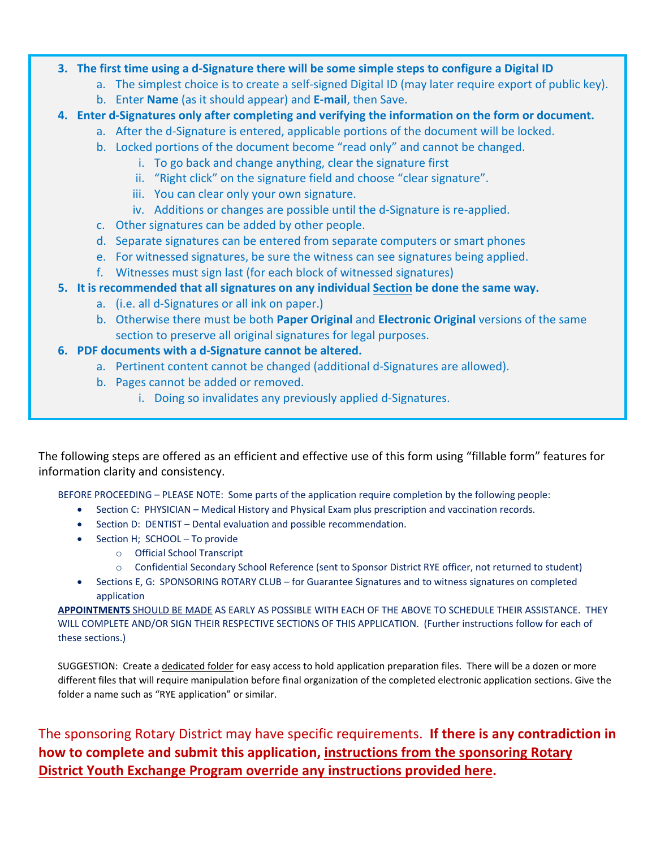#### 3. The first time using a d-Signature there will be some simple steps to configure a Digital ID

- a. The simplest choice is to create a self-signed Digital ID (may later require export of public key).
	- b. Enter **Name** (as it should appear) and **E‐mail**, then Save.
- **4. Enter d‐Signatures only after completing and verifying the information on the form or document.**
	- a. After the d‐Signature is entered, applicable portions of the document will be locked.
		- b. Locked portions of the document become "read only" and cannot be changed.
			- i. To go back and change anything, clear the signature first
			- ii. "Right click" on the signature field and choose "clear signature".
			- iii. You can clear only your own signature.
			- iv. Additions or changes are possible until the d-Signature is re-applied.
		- c. Other signatures can be added by other people.
		- d. Separate signatures can be entered from separate computers or smart phones
		- e. For witnessed signatures, be sure the witness can see signatures being applied.
		- f. Witnesses must sign last (for each block of witnessed signatures)
- **5. It is recommended that all signatures on any individual Section be done the same way.**
	- a. (i.e. all d‐Signatures or all ink on paper.)
	- b. Otherwise there must be both **Paper Original** and **Electronic Original** versions of the same section to preserve all original signatures for legal purposes.

### **6. PDF documents with a d‐Signature cannot be altered.**

- a. Pertinent content cannot be changed (additional d‐Signatures are allowed).
- b. Pages cannot be added or removed.
	- i. Doing so invalidates any previously applied d‐Signatures.

The following steps are offered as an efficient and effective use of this form using "fillable form" features for information clarity and consistency.

BEFORE PROCEEDING – PLEASE NOTE: Some parts of the application require completion by the following people:

- Section C: PHYSICIAN Medical History and Physical Exam plus prescription and vaccination records.
- Section D: DENTIST Dental evaluation and possible recommendation.
- Section H; SCHOOL To provide
	- o Official School Transcript
		- o Confidential Secondary School Reference (sent to Sponsor District RYE officer, not returned to student)
- Sections E, G: SPONSORING ROTARY CLUB for Guarantee Signatures and to witness signatures on completed application

**APPOINTMENTS** SHOULD BE MADE AS EARLY AS POSSIBLE WITH EACH OF THE ABOVE TO SCHEDULE THEIR ASSISTANCE. THEY WILL COMPLETE AND/OR SIGN THEIR RESPECTIVE SECTIONS OF THIS APPLICATION. (Further instructions follow for each of these sections.)

SUGGESTION: Create a dedicated folder for easy access to hold application preparation files. There will be a dozen or more different files that will require manipulation before final organization of the completed electronic application sections. Give the folder a name such as "RYE application" or similar.

The sponsoring Rotary District may have specific requirements. **If there is any contradiction in how to complete and submit this application, instructions from the sponsoring Rotary District Youth Exchange Program override any instructions provided here.**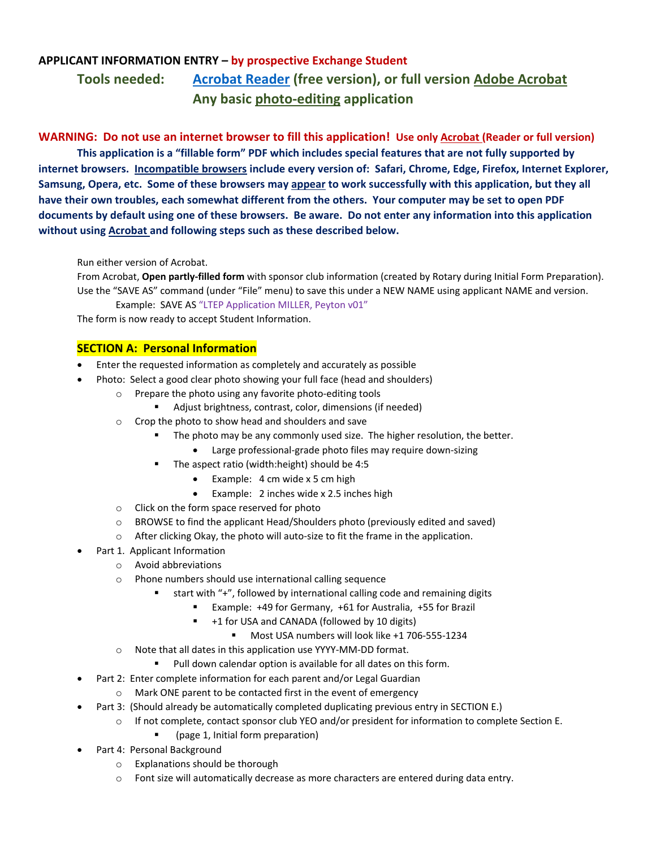## **APPLICANT INFORMATION ENTRY – by prospective Exchange Student Tools needed: Acrobat Reader (free version), or full version Adobe Acrobat Any basic photo‐editing application**

WARNING: Do not use an internet browser to fill this application! Use only Acrobat (Reader or full version) **This application is a "fillable form" PDF which includes special features that are not fully supported by** internet browsers. Incompatible browsers include every version of: Safari, Chrome, Edge, Firefox, Internet Explorer, Samsung, Opera, etc. Some of these browsers may appear to work successfully with this application, but they all have their own troubles, each somewhat different from the others. Your computer may be set to open PDF documents by default using one of these browsers. Be aware. Do not enter any information into this application **without using Acrobat and following steps such as these described below.**

Run either version of Acrobat.

From Acrobat, **Open partly‐filled form** with sponsor club information (created by Rotary during Initial Form Preparation). Use the "SAVE AS" command (under "File" menu) to save this under a NEW NAME using applicant NAME and version.

Example: SAVE AS "LTEP Application MILLER, Peyton v01"

The form is now ready to accept Student Information.

#### **SECTION A: Personal Information**

- Enter the requested information as completely and accurately as possible
- Photo: Select a good clear photo showing your full face (head and shoulders)
	- o Prepare the photo using any favorite photo‐editing tools
		- Adjust brightness, contrast, color, dimensions (if needed)
	- o Crop the photo to show head and shoulders and save
		- The photo may be any commonly used size. The higher resolution, the better.
			- Large professional-grade photo files may require down-sizing
		- The aspect ratio (width:height) should be 4:5
			- Example:  $4 \text{ cm}$  wide x 5 cm high
			- Example: 2 inches wide x 2.5 inches high
	- o Click on the form space reserved for photo
	- $\circ$  BROWSE to find the applicant Head/Shoulders photo (previously edited and saved)
	- o After clicking Okay, the photo will auto‐size to fit the frame in the application.
- Part 1. Applicant Information
	- o Avoid abbreviations
	- o Phone numbers should use international calling sequence
		- start with "+", followed by international calling code and remaining digits
			- Example: +49 for Germany, +61 for Australia, +55 for Brazil
			- +1 for USA and CANADA (followed by 10 digits)
				- Most USA numbers will look like +1 706-555-1234
	- o Note that all dates in this application use YYYY‐MM‐DD format.
		- **Pull down calendar option is available for all dates on this form.**
- Part 2: Enter complete information for each parent and/or Legal Guardian
	- o Mark ONE parent to be contacted first in the event of emergency
- Part 3: (Should already be automatically completed duplicating previous entry in SECTION E.)
	- o If not complete, contact sponsor club YEO and/or president for information to complete Section E.
		- (page 1, Initial form preparation)
- Part 4: Personal Background
	- o Explanations should be thorough
	- o Font size will automatically decrease as more characters are entered during data entry.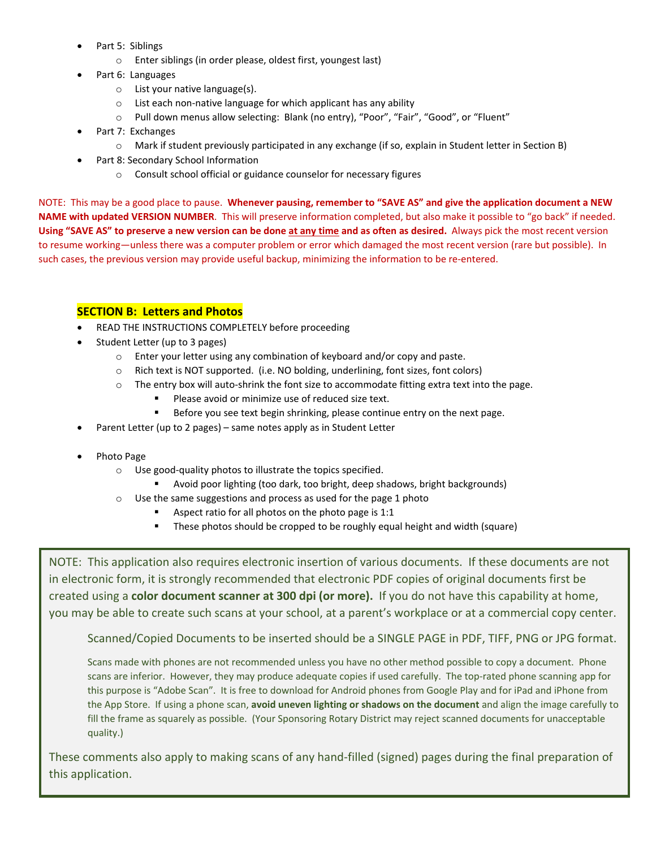- Part 5: Siblings
	- o Enter siblings (in order please, oldest first, youngest last)
- Part 6: Languages
	- o List your native language(s).
	- o List each non‐native language for which applicant has any ability
	- o Pull down menus allow selecting: Blank (no entry), "Poor", "Fair", "Good", or "Fluent"
- Part 7: Exchanges
	- o Mark if student previously participated in any exchange (if so, explain in Student letter in Section B)
- Part 8: Secondary School Information
	- o Consult school official or guidance counselor for necessary figures

NOTE: This may be a good place to pause. **Whenever pausing, remember to "SAVE AS" and give the application document a NEW NAME with updated VERSION NUMBER**. This will preserve information completed, but also make it possible to "go back" if needed. Using "SAVE AS" to preserve a new version can be done at any time and as often as desired. Always pick the most recent version to resume working—unless there was a computer problem or error which damaged the most recent version (rare but possible). In such cases, the previous version may provide useful backup, minimizing the information to be re-entered.

#### **SECTION B: Letters and Photos**

- READ THE INSTRUCTIONS COMPLETELY before proceeding
- Student Letter (up to 3 pages)
	- o Enter your letter using any combination of keyboard and/or copy and paste.
	- o Rich text is NOT supported. (i.e. NO bolding, underlining, font sizes, font colors)
	- o The entry box will auto‐shrink the font size to accommodate fitting extra text into the page.
		- **Please avoid or minimize use of reduced size text.**
		- Before you see text begin shrinking, please continue entry on the next page.
- Parent Letter (up to 2 pages) same notes apply as in Student Letter
- Photo Page
	- o Use good‐quality photos to illustrate the topics specified.
		- Avoid poor lighting (too dark, too bright, deep shadows, bright backgrounds)
	- o Use the same suggestions and process as used for the page 1 photo
		- Aspect ratio for all photos on the photo page is 1:1
		- These photos should be cropped to be roughly equal height and width (square)

NOTE: This application also requires electronic insertion of various documents. If these documents are not in electronic form, it is strongly recommended that electronic PDF copies of original documents first be created using a **color document scanner at 300 dpi (or more).** If you do not have this capability at home, you may be able to create such scans at your school, at a parent's workplace or at a commercial copy center.

Scanned/Copied Documents to be inserted should be a SINGLE PAGE in PDF, TIFF, PNG or JPG format.

Scans made with phones are not recommended unless you have no other method possible to copy a document. Phone scans are inferior. However, they may produce adequate copies if used carefully. The top-rated phone scanning app for this purpose is "Adobe Scan". It is free to download for Android phones from Google Play and for iPad and iPhone from the App Store. If using a phone scan, **avoid uneven lighting or shadows on the document** and align the image carefully to fill the frame as squarely as possible. (Your Sponsoring Rotary District may reject scanned documents for unacceptable quality.)

These comments also apply to making scans of any hand‐filled (signed) pages during the final preparation of this application.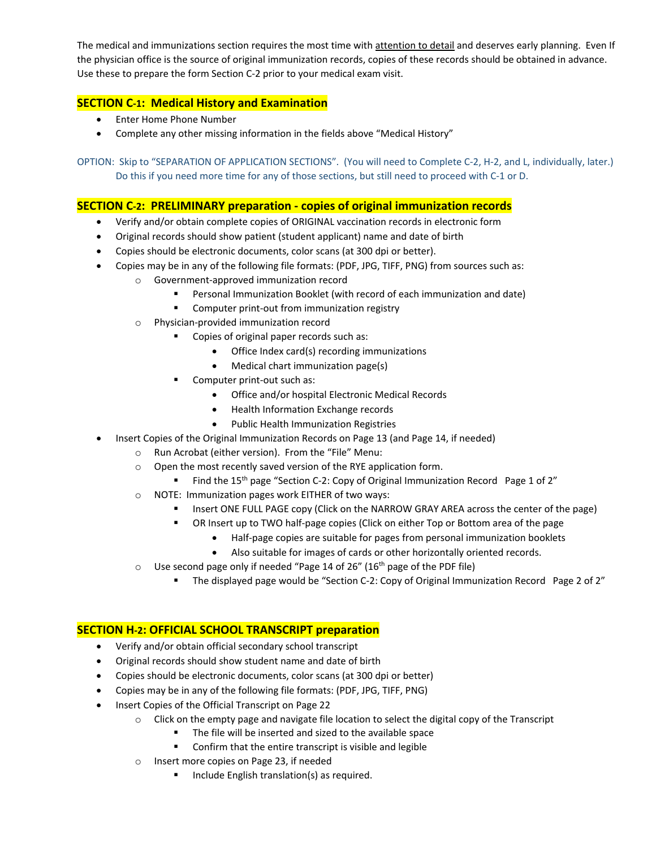The medical and immunizations section requires the most time with attention to detail and deserves early planning. Even If the physician office is the source of original immunization records, copies of these records should be obtained in advance. Use these to prepare the form Section C‐2 prior to your medical exam visit.

#### **SECTION C‐1: Medical History and Examination**

- Enter Home Phone Number
- Complete any other missing information in the fields above "Medical History"

OPTION: Skip to "SEPARATION OF APPLICATION SECTIONS". (You will need to Complete C‐2, H‐2, and L, individually, later.) Do this if you need more time for any of those sections, but still need to proceed with C‐1 or D.

#### **SECTION C‐2: PRELIMINARY preparation ‐ copies of original immunization records**

- Verify and/or obtain complete copies of ORIGINAL vaccination records in electronic form
- Original records should show patient (student applicant) name and date of birth
- Copies should be electronic documents, color scans (at 300 dpi or better).
- Copies may be in any of the following file formats: (PDF, JPG, TIFF, PNG) from sources such as:
	- o Government‐approved immunization record
		- Personal Immunization Booklet (with record of each immunization and date)
		- Computer print-out from immunization registry
	- o Physician‐provided immunization record
		- **Copies of original paper records such as:** 
			- Office Index card(s) recording immunizations
			- Medical chart immunization page(s)
		- Computer print-out such as:
			- Office and/or hospital Electronic Medical Records
			- Health Information Exchange records
			- **•** Public Health Immunization Registries
	- Insert Copies of the Original Immunization Records on Page 13 (and Page 14, if needed)
		- o Run Acrobat (either version). From the "File" Menu:
		- o Open the most recently saved version of the RYE application form.
			- Find the 15<sup>th</sup> page "Section C-2: Copy of Original Immunization Record Page 1 of 2"
		- o NOTE: Immunization pages work EITHER of two ways:
			- Insert ONE FULL PAGE copy (Click on the NARROW GRAY AREA across the center of the page)
			- OR Insert up to TWO half-page copies (Click on either Top or Bottom area of the page
				- Half-page copies are suitable for pages from personal immunization booklets
				- Also suitable for images of cards or other horizontally oriented records.
		- $\circ$  Use second page only if needed "Page 14 of 26" (16<sup>th</sup> page of the PDF file)
			- The displayed page would be "Section C-2: Copy of Original Immunization Record Page 2 of 2"

#### **SECTION H‐2: OFFICIAL SCHOOL TRANSCRIPT preparation**

- Verify and/or obtain official secondary school transcript
- Original records should show student name and date of birth
- Copies should be electronic documents, color scans (at 300 dpi or better)
- Copies may be in any of the following file formats: (PDF, JPG, TIFF, PNG)
- Insert Copies of the Official Transcript on Page 22
	- o Click on the empty page and navigate file location to select the digital copy of the Transcript
		- The file will be inserted and sized to the available space
		- **EXECONFIRE CONFIRM CONFIRM** Confirm that the entire transcript is visible and legible
	- o Insert more copies on Page 23, if needed
		- **Include English translation(s) as required.**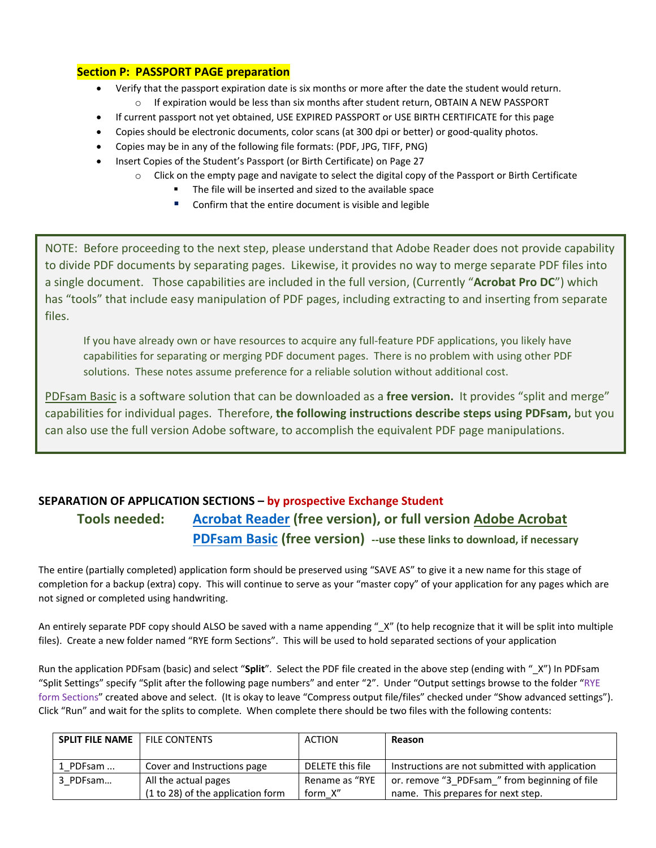#### **Section P: PASSPORT PAGE preparation**

- Verify that the passport expiration date is six months or more after the date the student would return.  $\circ$  If expiration would be less than six months after student return, OBTAIN A NEW PASSPORT
- If current passport not yet obtained, USE EXPIRED PASSPORT or USE BIRTH CERTIFICATE for this page
- Copies should be electronic documents, color scans (at 300 dpi or better) or good-quality photos.
- Copies may be in any of the following file formats: (PDF, JPG, TIFF, PNG)
- Insert Copies of the Student's Passport (or Birth Certificate) on Page 27
	- $\circ$  Click on the empty page and navigate to select the digital copy of the Passport or Birth Certificate
		- The file will be inserted and sized to the available space
		- Confirm that the entire document is visible and legible

NOTE: Before proceeding to the next step, please understand that Adobe Reader does not provide capability to divide PDF documents by separating pages. Likewise, it provides no way to merge separate PDF files into a single document. Those capabilities are included in the full version, (Currently "**Acrobat Pro DC**") which has "tools" that include easy manipulation of PDF pages, including extracting to and inserting from separate files.

If you have already own or have resources to acquire any full‐feature PDF applications, you likely have capabilities for separating or merging PDF document pages. There is no problem with using other PDF solutions. These notes assume preference for a reliable solution without additional cost.

PDFsam Basic is a software solution that can be downloaded as a **free version.** It provides "split and merge" capabilities for individual pages. Therefore, **the following instructions describe steps using PDFsam,** but you can also use the full version Adobe software, to accomplish the equivalent PDF page manipulations.

## **SEPARATION OF APPLICATION SECTIONS – by prospective Exchange Student Tools needed: Acrobat Reader (free version), or full version Adobe Acrobat PDFsam Basic (free version) ‐‐use these links to download, if necessary**

The entire (partially completed) application form should be preserved using "SAVE AS" to give it a new name for this stage of completion for a backup (extra) copy. This will continue to serve as your "master copy" of your application for any pages which are not signed or completed using handwriting.

An entirely separate PDF copy should ALSO be saved with a name appending " X" (to help recognize that it will be split into multiple files). Create a new folder named "RYE form Sections". This will be used to hold separated sections of your application

Run the application PDFsam (basic) and select "**Split**". Select the PDF file created in the above step (ending with "\_X") In PDFsam "Split Settings" specify "Split after the following page numbers" and enter "2". Under "Output settings browse to the folder "RYE form Sections" created above and select. (It is okay to leave "Compress output file/files" checked under "Show advanced settings"). Click "Run" and wait for the splits to complete. When complete there should be two files with the following contents:

| <b>SPLIT FILE NAME</b> | <b>FILE CONTENTS</b>              | ACTION           | Reason                                          |
|------------------------|-----------------------------------|------------------|-------------------------------------------------|
| 1 PDFsam               | Cover and Instructions page       | DELETE this file | Instructions are not submitted with application |
| 3 PDFsam               | All the actual pages              | Rename as "RYE   | or. remove "3 PDFsam " from beginning of file   |
|                        | (1 to 28) of the application form | form X"          | name. This prepares for next step.              |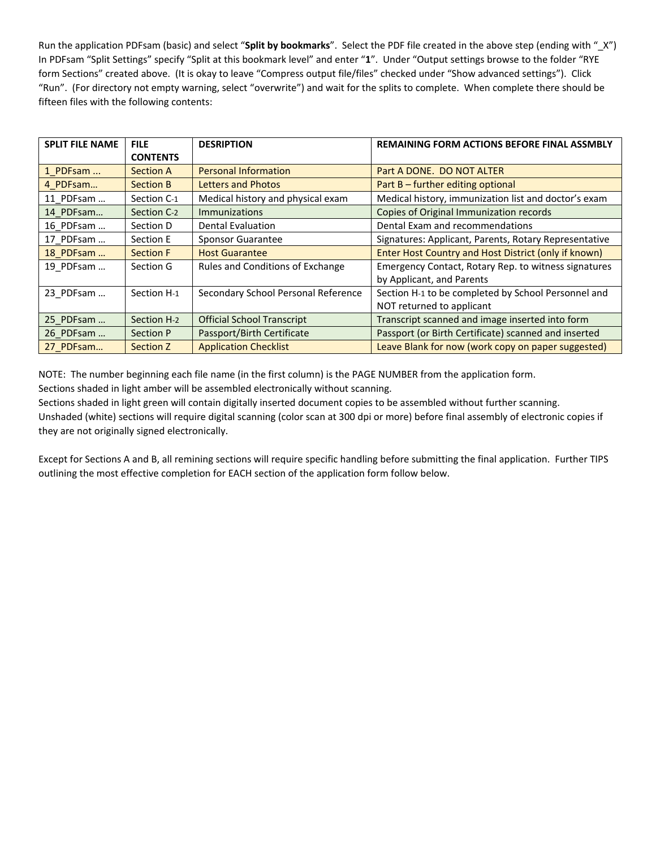Run the application PDFsam (basic) and select "**Split by bookmarks**". Select the PDF file created in the above step (ending with "\_X") In PDFsam "Split Settings" specify "Split at this bookmark level" and enter "**1**". Under "Output settings browse to the folder "RYE form Sections" created above. (It is okay to leave "Compress output file/files" checked under "Show advanced settings"). Click "Run". (For directory not empty warning, select "overwrite") and wait for the splits to complete. When complete there should be fifteen files with the following contents:

| <b>SPLIT FILE NAME</b> | <b>FILE</b>      | <b>DESRIPTION</b>                   | <b>REMAINING FORM ACTIONS BEFORE FINAL ASSMBLY</b>    |
|------------------------|------------------|-------------------------------------|-------------------------------------------------------|
|                        | <b>CONTENTS</b>  |                                     |                                                       |
| 1 PDFsam               | <b>Section A</b> | <b>Personal Information</b>         | Part A DONE. DO NOT ALTER                             |
| 4 PDFsam               | <b>Section B</b> | <b>Letters and Photos</b>           | Part B – further editing optional                     |
| 11 PDFsam              | Section C-1      | Medical history and physical exam   | Medical history, immunization list and doctor's exam  |
| 14 PDFsam              | Section C-2      | <b>Immunizations</b>                | Copies of Original Immunization records               |
| 16 PDFsam              | Section D        | <b>Dental Evaluation</b>            | Dental Exam and recommendations                       |
| 17 PDFsam              | Section E        | Sponsor Guarantee                   | Signatures: Applicant, Parents, Rotary Representative |
| 18 PDFsam              | <b>Section F</b> | <b>Host Guarantee</b>               | Enter Host Country and Host District (only if known)  |
| 19 PDFsam              | Section G        | Rules and Conditions of Exchange    | Emergency Contact, Rotary Rep. to witness signatures  |
|                        |                  |                                     | by Applicant, and Parents                             |
| 23 PDFsam              | Section H-1      | Secondary School Personal Reference | Section H-1 to be completed by School Personnel and   |
|                        |                  |                                     | NOT returned to applicant                             |
| 25 PDFsam              | Section H-2      | <b>Official School Transcript</b>   | Transcript scanned and image inserted into form       |
| 26 PDFsam              | Section P        | Passport/Birth Certificate          | Passport (or Birth Certificate) scanned and inserted  |
| 27 PDFsam              | Section Z        | <b>Application Checklist</b>        | Leave Blank for now (work copy on paper suggested)    |

NOTE: The number beginning each file name (in the first column) is the PAGE NUMBER from the application form.

Sections shaded in light amber will be assembled electronically without scanning.

Sections shaded in light green will contain digitally inserted document copies to be assembled without further scanning.

Unshaded (white) sections will require digital scanning (color scan at 300 dpi or more) before final assembly of electronic copies if they are not originally signed electronically.

Except for Sections A and B, all remining sections will require specific handling before submitting the final application. Further TIPS outlining the most effective completion for EACH section of the application form follow below.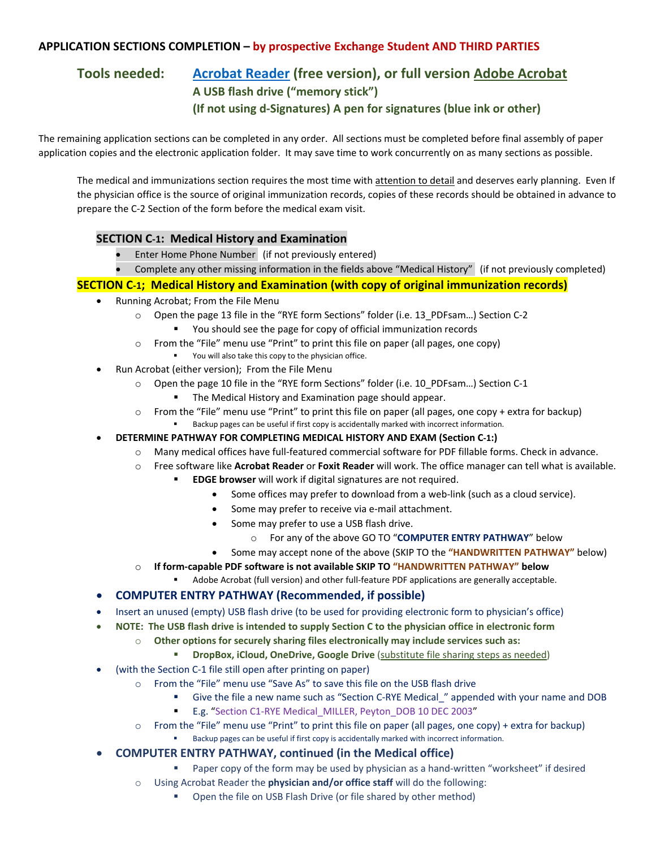#### **APPLICATION SECTIONS COMPLETION – by prospective Exchange Student AND THIRD PARTIES**

## **Tools needed: Acrobat Reader (free version), or full version Adobe Acrobat A USB flash drive ("memory stick") (If not using d‐Signatures) A pen for signatures (blue ink or other)**

The remaining application sections can be completed in any order. All sections must be completed before final assembly of paper application copies and the electronic application folder. It may save time to work concurrently on as many sections as possible.

The medical and immunizations section requires the most time with attention to detail and deserves early planning. Even If the physician office is the source of original immunization records, copies of these records should be obtained in advance to prepare the C‐2 Section of the form before the medical exam visit.

#### **SECTION C‐1: Medical History and Examination**

- Enter Home Phone Number (if not previously entered)
- Complete any other missing information in the fields above "Medical History" (if not previously completed)

#### **SECTION C‐1; Medical History and Examination (with copy of original immunization records)**

- Running Acrobat; From the File Menu
	- o Open the page 13 file in the "RYE form Sections" folder (i.e. 13\_PDFsam…) Section C‐2
		- You should see the page for copy of official immunization records
	- o From the "File" menu use "Print" to print this file on paper (all pages, one copy)
		- You will also take this copy to the physician office.
- Run Acrobat (either version); From the File Menu
	- o Open the page 10 file in the "RYE form Sections" folder (i.e. 10\_PDFsam…) Section C‐1
		- **The Medical History and Examination page should appear.**
	- $\circ$  From the "File" menu use "Print" to print this file on paper (all pages, one copy + extra for backup)
		- Backup pages can be useful if first copy is accidentally marked with incorrect information.
	- **DETERMINE PATHWAY FOR COMPLETING MEDICAL HISTORY AND EXAM (Section C‐1:)**
		- o Many medical offices have full‐featured commercial software for PDF fillable forms. Check in advance.
		- o Free software like **Acrobat Reader** or **Foxit Reader** will work. The office manager can tell what is available.
			- **EDGE browser** will work if digital signatures are not required.
				- Some offices may prefer to download from a web-link (such as a cloud service).
				- Some may prefer to receive via e‐mail attachment.
				- Some may prefer to use a USB flash drive.
					- o For any of the above GO TO "**COMPUTER ENTRY PATHWAY**" below
				- Some may accept none of the above (SKIP TO the **"HANDWRITTEN PATHWAY"** below)
		- o **If form‐capable PDF software is not available SKIP TO "HANDWRITTEN PATHWAY" below**
			- Adobe Acrobat (full version) and other full‐feature PDF applications are generally acceptable.

#### **COMPUTER ENTRY PATHWAY (Recommended, if possible)**

- Insert an unused (empty) USB flash drive (to be used for providing electronic form to physician's office)
- NOTE: The USB flash drive is intended to supply Section C to the physician office in electronic form
	- o **Other options for securely sharing files electronically may include services such as:**
		- **DropBox, iCloud, OneDrive, Google Drive** (substitute file sharing steps as needed)
- (with the Section C‐1 file still open after printing on paper)
	- o From the "File" menu use "Save As" to save this file on the USB flash drive
		- Give the file a new name such as "Section C-RYE Medical " appended with your name and DOB
		- E.g. "Section C1-RYE Medical MILLER, Peyton DOB 10 DEC 2003"
	- $\circ$  From the "File" menu use "Print" to print this file on paper (all pages, one copy) + extra for backup) Backup pages can be useful if first copy is accidentally marked with incorrect information.
- **COMPUTER ENTRY PATHWAY, continued (in the Medical office)**
	- Paper copy of the form may be used by physician as a hand-written "worksheet" if desired
	- o Using Acrobat Reader the **physician and/or office staff** will do the following:
		- **•** Open the file on USB Flash Drive (or file shared by other method)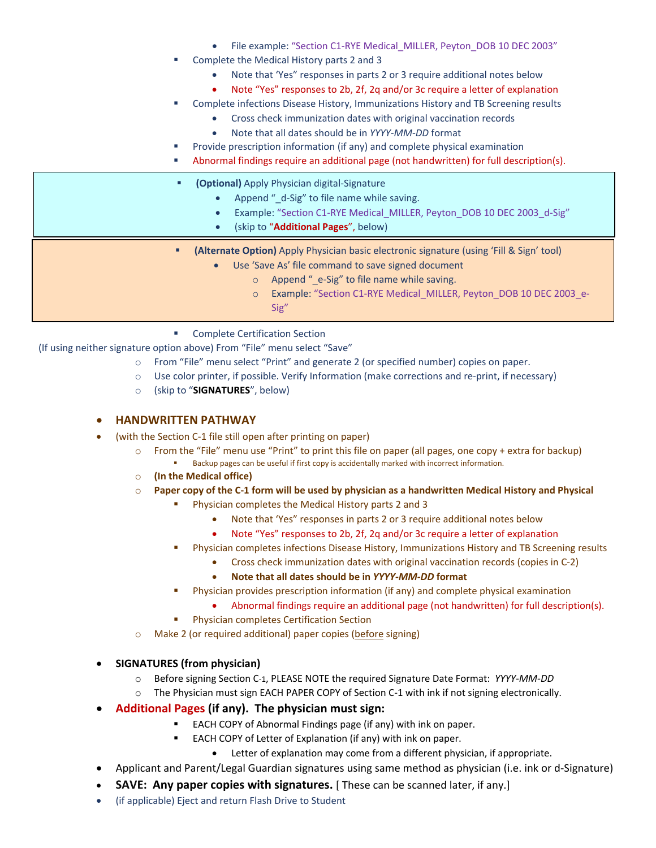- File example: "Section C1-RYE Medical\_MILLER, Peyton\_DOB 10 DEC 2003"
- Complete the Medical History parts 2 and 3
	- Note that 'Yes" responses in parts 2 or 3 require additional notes below
	- Note "Yes" responses to 2b, 2f, 2q and/or 3c require a letter of explanation
- Complete infections Disease History, Immunizations History and TB Screening results
	- Cross check immunization dates with original vaccination records
		- Note that all dates should be in *YYYY‐MM‐DD* format
	- Provide prescription information (if any) and complete physical examination
- Abnormal findings require an additional page (not handwritten) for full description(s).
- **(Optional)** Apply Physician digital-Signature
	- Append "\_d-Sig" to file name while saving.
	- Example: "Section C1-RYE Medical\_MILLER, Peyton\_DOB 10 DEC 2003\_d-Sig"
	- (skip to "**Additional Pages**", below)
	- **(Alternate Option)** Apply Physician basic electronic signature (using 'Fill & Sign' tool)
		- Use 'Save As' file command to save signed document
			- Append " e-Sig" to file name while saving.
			- o Example: "Section C1‐RYE Medical\_MILLER, Peyton\_DOB 10 DEC 2003\_e‐ Sig"
	- Complete Certification Section

(If using neither signature option above) From "File" menu select "Save"

- o From "File" menu select "Print" and generate 2 (or specified number) copies on paper.
- o Use color printer, if possible. Verify Information (make corrections and re‐print, if necessary)
- o (skip to "**SIGNATURES**", below)

#### **HANDWRITTEN PATHWAY**

- (with the Section C‐1 file still open after printing on paper)
	- $\circ$  From the "File" menu use "Print" to print this file on paper (all pages, one copy + extra for backup) Backup pages can be useful if first copy is accidentally marked with incorrect information.
	- o **(In the Medical office)**
	- $\circ$  Paper copy of the C-1 form will be used by physician as a handwritten Medical History and Physical
		- Physician completes the Medical History parts 2 and 3
			- Note that 'Yes" responses in parts 2 or 3 require additional notes below
			- Note "Yes" responses to 2b, 2f, 2q and/or 3c require a letter of explanation
		- Physician completes infections Disease History, Immunizations History and TB Screening results
			- Cross check immunization dates with original vaccination records (copies in C-2)
			- **Note that all dates should be in** *YYYY‐MM‐DD* **format**
		- Physician provides prescription information (if any) and complete physical examination
			- Abnormal findings require an additional page (not handwritten) for full description(s).
		- Physician completes Certification Section
	- o Make 2 (or required additional) paper copies (before signing)

#### **SIGNATURES (from physician)**

- o Before signing Section C‐1, PLEASE NOTE the required Signature Date Format: *YYYY‐MM‐DD*
- o The Physician must sign EACH PAPER COPY of Section C‐1 with ink if not signing electronically.
- **Additional Pages (if any). The physician must sign:**
	- **EACH COPY of Abnormal Findings page (if any) with ink on paper.** 
		- EACH COPY of Letter of Explanation (if any) with ink on paper.
			- Letter of explanation may come from a different physician, if appropriate.
- Applicant and Parent/Legal Guardian signatures using same method as physician (i.e. ink or d‐Signature)
- **SAVE: Any paper copies with signatures.** [ These can be scanned later, if any.]
- (if applicable) Eject and return Flash Drive to Student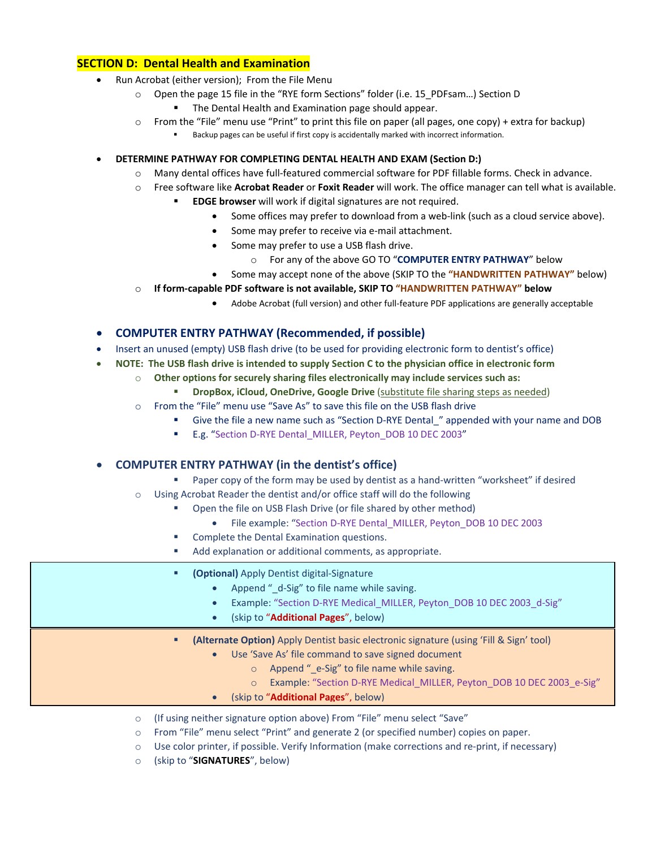#### **SECTION D: Dental Health and Examination**

- Run Acrobat (either version); From the File Menu
	- o Open the page 15 file in the "RYE form Sections" folder (i.e. 15\_PDFsam…) Section D
		- The Dental Health and Examination page should appear.
	- o From the "File" menu use "Print" to print this file on paper (all pages, one copy) + extra for backup) Backup pages can be useful if first copy is accidentally marked with incorrect information.

**DETERMINE PATHWAY FOR COMPLETING DENTAL HEALTH AND EXAM (Section D:)**

- o Many dental offices have full‐featured commercial software for PDF fillable forms. Check in advance.
- o Free software like **Acrobat Reader** or **Foxit Reader** will work. The office manager can tell what is available.
	- **EDGE browser** will work if digital signatures are not required.
		- Some offices may prefer to download from a web-link (such as a cloud service above).
		- Some may prefer to receive via e‐mail attachment.
			- Some may prefer to use a USB flash drive.
				- o For any of the above GO TO "**COMPUTER ENTRY PATHWAY**" below
		- Some may accept none of the above (SKIP TO the **"HANDWRITTEN PATHWAY"** below)
- o **If form‐capable PDF software is not available, SKIP TO "HANDWRITTEN PATHWAY" below**
	- Adobe Acrobat (full version) and other full‐feature PDF applications are generally acceptable

#### **COMPUTER ENTRY PATHWAY (Recommended, if possible)**

- Insert an unused (empty) USB flash drive (to be used for providing electronic form to dentist's office)
- NOTE: The USB flash drive is intended to supply Section C to the physician office in electronic form
	- o **Other options for securely sharing files electronically may include services such as:**
		- **DropBox, iCloud, OneDrive, Google Drive** (substitute file sharing steps as needed)
	- o From the "File" menu use "Save As" to save this file on the USB flash drive
		- Give the file a new name such as "Section D‐RYE Dental\_" appended with your name and DOB
		- E.g. "Section D-RYE Dental\_MILLER, Peyton\_DOB 10 DEC 2003"

#### **COMPUTER ENTRY PATHWAY (in the dentist's office)**

- Paper copy of the form may be used by dentist as a hand-written "worksheet" if desired
- o Using Acrobat Reader the dentist and/or office staff will do the following
	- Open the file on USB Flash Drive (or file shared by other method)
		- File example: "Section D-RYE Dental\_MILLER, Peyton\_DOB 10 DEC 2003
	- Complete the Dental Examination questions.
	- Add explanation or additional comments, as appropriate.
	- **(Optional)** Apply Dentist digital‐Signature
		- Append " d-Sig" to file name while saving.
		- Example: "Section D-RYE Medical MILLER, Peyton DOB 10 DEC 2003 d-Sig"
		- (skip to "**Additional Pages**", below)
	- **(Alternate Option)** Apply Dentist basic electronic signature (using 'Fill & Sign' tool)
		- Use 'Save As' file command to save signed document
			- Append " e-Sig" to file name while saving.
			- o Example: "Section D‐RYE Medical\_MILLER, Peyton\_DOB 10 DEC 2003\_e‐Sig"
		- (skip to "**Additional Pages**", below)
- o (If using neither signature option above) From "File" menu select "Save"
- o From "File" menu select "Print" and generate 2 (or specified number) copies on paper.
- o Use color printer, if possible. Verify Information (make corrections and re‐print, if necessary)
- o (skip to "**SIGNATURES**", below)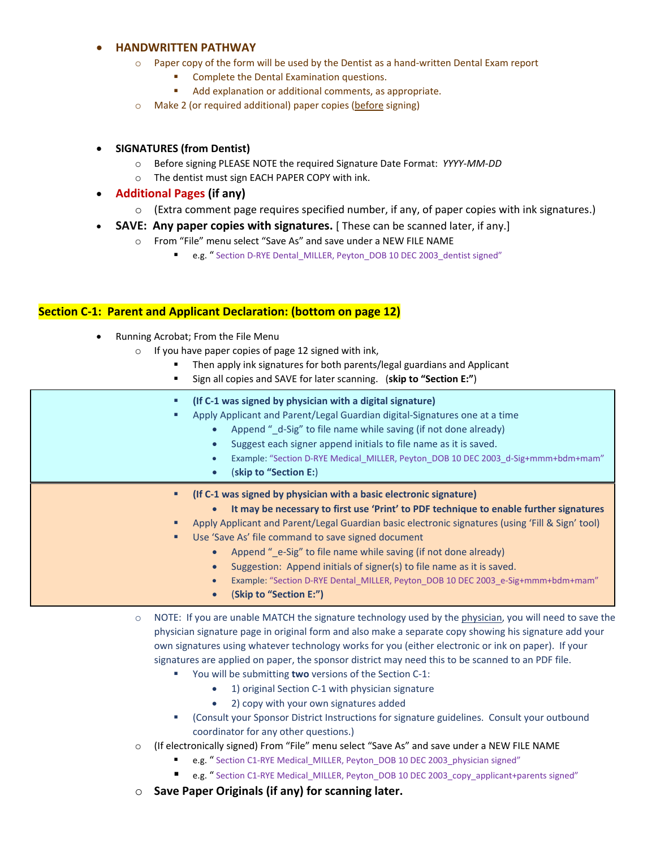#### **HANDWRITTEN PATHWAY**

- o Paper copy of the form will be used by the Dentist as a hand‐written Dental Exam report
	- Complete the Dental Examination questions.
		- Add explanation or additional comments, as appropriate.
- o Make 2 (or required additional) paper copies (before signing)

#### **SIGNATURES (from Dentist)**

- o Before signing PLEASE NOTE the required Signature Date Format: *YYYY‐MM‐DD*
- o The dentist must sign EACH PAPER COPY with ink.
- **Additional Pages (if any)**
	- o (Extra comment page requires specified number, if any, of paper copies with ink signatures.)
- **SAVE:** Any paper copies with signatures. [These can be scanned later, if any.]
	- o From "File" menu select "Save As" and save under a NEW FILE NAME
		- e.g. " Section D-RYE Dental\_MILLER, Peyton\_DOB 10 DEC 2003\_dentist signed"

#### **Section C‐1: Parent and Applicant Declaration: (bottom on page 12)**

- Running Acrobat; From the File Menu
	- $\circ$  If you have paper copies of page 12 signed with ink,
		- Then apply ink signatures for both parents/legal guardians and Applicant
			- Sign all copies and SAVE for later scanning. (**skip to "Section E:"**)

| о  | (If C-1 was signed by physician with a digital signature)<br>Apply Applicant and Parent/Legal Guardian digital-Signatures one at a time<br>Append "_d-Sig" to file name while saving (if not done already)<br>$\bullet$<br>Suggest each signer append initials to file name as it is saved.<br>Example: "Section D-RYE Medical_MILLER, Peyton_DOB 10 DEC 2003_d-Sig+mmm+bdm+mam"<br>(skip to "Section E:)<br>$\bullet$ |
|----|------------------------------------------------------------------------------------------------------------------------------------------------------------------------------------------------------------------------------------------------------------------------------------------------------------------------------------------------------------------------------------------------------------------------|
| п. | (If C-1 was signed by physician with a basic electronic signature)                                                                                                                                                                                                                                                                                                                                                     |
|    | It may be necessary to first use 'Print' to PDF technique to enable further signatures<br>$\bullet$                                                                                                                                                                                                                                                                                                                    |
|    | Apply Applicant and Parent/Legal Guardian basic electronic signatures (using 'Fill & Sign' tool)                                                                                                                                                                                                                                                                                                                       |
|    | Use 'Save As' file command to save signed document                                                                                                                                                                                                                                                                                                                                                                     |
|    | Append " e-Sig" to file name while saving (if not done already)<br>$\bullet$                                                                                                                                                                                                                                                                                                                                           |
|    |                                                                                                                                                                                                                                                                                                                                                                                                                        |
|    | Suggestion: Append initials of signer(s) to file name as it is saved.                                                                                                                                                                                                                                                                                                                                                  |

- (**Skip to "Section E:")**
- o NOTE: If you are unable MATCH the signature technology used by the physician, you will need to save the physician signature page in original form and also make a separate copy showing his signature add your own signatures using whatever technology works for you (either electronic or ink on paper). If your signatures are applied on paper, the sponsor district may need this to be scanned to an PDF file.
	- You will be submitting **two** versions of the Section C-1:
		- 1) original Section C-1 with physician signature
		- 2) copy with your own signatures added
	- (Consult your Sponsor District Instructions for signature guidelines. Consult your outbound coordinator for any other questions.)
- $\circ$  (If electronically signed) From "File" menu select "Save As" and save under a NEW FILE NAME
	- e.g. " Section C1‐RYE Medical\_MILLER, Peyton\_DOB 10 DEC 2003\_physician signed"
	- e.g. " Section C1-RYE Medical\_MILLER, Peyton\_DOB 10 DEC 2003\_copy\_applicant+parents signed"
- o **Save Paper Originals (if any) for scanning later.**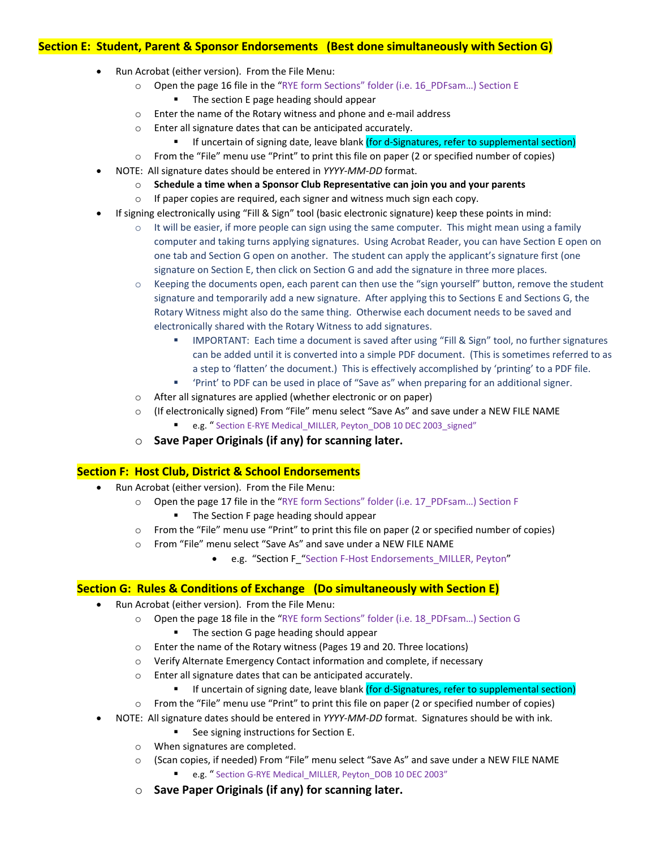#### **Section E: Student, Parent & Sponsor Endorsements (Best done simultaneously with Section G)**

- Run Acrobat (either version). From the File Menu:
	- o Open the page 16 file in the "RYE form Sections" folder (i.e. 16\_PDFsam…) Section E
		- The section E page heading should appear
	- o Enter the name of the Rotary witness and phone and e‐mail address
	- o Enter all signature dates that can be anticipated accurately.
		- If uncertain of signing date, leave blank (for d-Signatures, refer to supplemental section)
	- o From the "File" menu use "Print" to print this file on paper (2 or specified number of copies)
	- NOTE: All signature dates should be entered in *YYYY‐MM‐DD* format.
		- o **Schedule a time when a Sponsor Club Representative can join you and your parents**
		- o If paper copies are required, each signer and witness much sign each copy.
- If signing electronically using "Fill & Sign" tool (basic electronic signature) keep these points in mind:
	- $\circ$  It will be easier, if more people can sign using the same computer. This might mean using a family computer and taking turns applying signatures. Using Acrobat Reader, you can have Section E open on one tab and Section G open on another. The student can apply the applicant's signature first (one signature on Section E, then click on Section G and add the signature in three more places.
	- $\circ$  Keeping the documents open, each parent can then use the "sign yourself" button, remove the student signature and temporarily add a new signature. After applying this to Sections E and Sections G, the Rotary Witness might also do the same thing. Otherwise each document needs to be saved and electronically shared with the Rotary Witness to add signatures.
		- **IMPORTANT: Each time a document is saved after using "Fill & Sign" tool, no further signatures** can be added until it is converted into a simple PDF document. (This is sometimes referred to as a step to 'flatten' the document.) This is effectively accomplished by 'printing' to a PDF file.
		- 'Print' to PDF can be used in place of "Save as" when preparing for an additional signer.
	- o After all signatures are applied (whether electronic or on paper)
	- o (If electronically signed) From "File" menu select "Save As" and save under a NEW FILE NAME
		- e.g. " Section E-RYE Medical MILLER, Peyton DOB 10 DEC 2003\_signed"
	- o **Save Paper Originals (if any) for scanning later.**

#### **Section F: Host Club, District & School Endorsements**

- Run Acrobat (either version). From the File Menu:
	- o Open the page 17 file in the "RYE form Sections" folder (i.e. 17\_PDFsam…) Section F
		- **The Section F page heading should appear**
	- o From the "File" menu use "Print" to print this file on paper (2 or specified number of copies)
	- o From "File" menu select "Save As" and save under a NEW FILE NAME
		- e.g. "Section F\_"Section F‐Host Endorsements\_MILLER, Peyton"

#### **Section G: Rules & Conditions of Exchange (Do simultaneously with Section E)**

- Run Acrobat (either version). From the File Menu:
	- o Open the page 18 file in the "RYE form Sections" folder (i.e. 18\_PDFsam…) Section G The section G page heading should appear
	- o Enter the name of the Rotary witness (Pages 19 and 20. Three locations)
	- o Verify Alternate Emergency Contact information and complete, if necessary
	- o Enter all signature dates that can be anticipated accurately.
		- If uncertain of signing date, leave blank (for d-Signatures, refer to supplemental section)
	- o From the "File" menu use "Print" to print this file on paper (2 or specified number of copies)
- NOTE: All signature dates should be entered in *YYYY‐MM‐DD* format. Signatures should be with ink.
	- See signing instructions for Section E.
	- o When signatures are completed.
	- o (Scan copies, if needed) From "File" menu select "Save As" and save under a NEW FILE NAME
		- e.g. " Section G-RYE Medical MILLER, Peyton DOB 10 DEC 2003"
	- o **Save Paper Originals (if any) for scanning later.**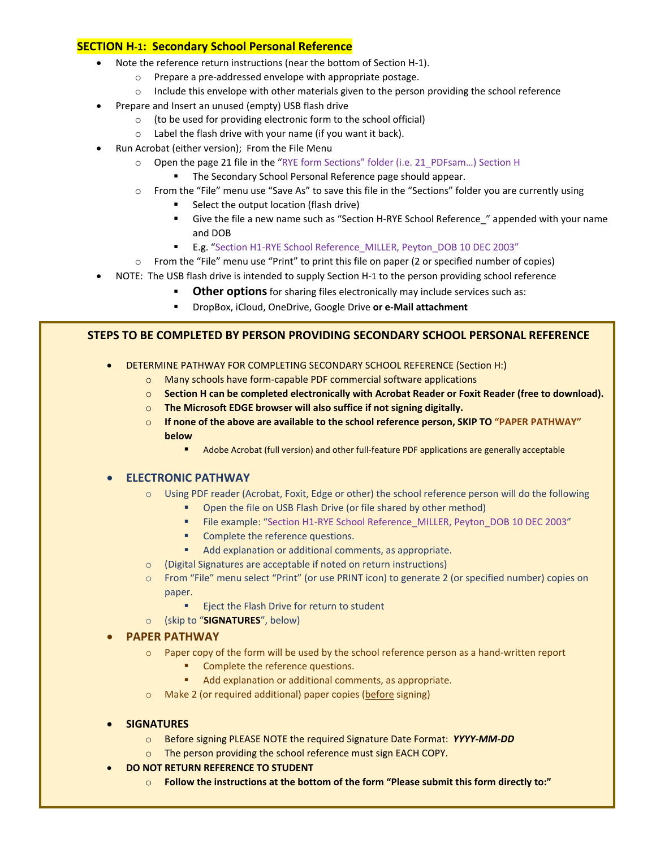#### **SECTION H‐1: Secondary School Personal Reference**

- Note the reference return instructions (near the bottom of Section H‐1).
	- o Prepare a pre‐addressed envelope with appropriate postage.
	- $\circ$  Include this envelope with other materials given to the person providing the school reference
- Prepare and Insert an unused (empty) USB flash drive
	- o (to be used for providing electronic form to the school official)
	- o Label the flash drive with your name (if you want it back).
- Run Acrobat (either version); From the File Menu
	- o Open the page 21 file in the "RYE form Sections" folder (i.e. 21\_PDFsam…) Section H
		- **The Secondary School Personal Reference page should appear.**
	- o From the "File" menu use "Save As" to save this file in the "Sections" folder you are currently using
		- Select the output location (flash drive)
		- Give the file a new name such as "Section H-RYE School Reference\_" appended with your name and DOB
		- E.g. "Section H1-RYE School Reference\_MILLER, Peyton\_DOB 10 DEC 2003"
	- o From the "File" menu use "Print" to print this file on paper (2 or specified number of copies)
- NOTE: The USB flash drive is intended to supply Section H‐1 to the person providing school reference
	- **Other options** for sharing files electronically may include services such as:
	- DropBox, iCloud, OneDrive, Google Drive **or e‐Mail attachment**

#### **STEPS TO BE COMPLETED BY PERSON PROVIDING SECONDARY SCHOOL PERSONAL REFERENCE**

- DETERMINE PATHWAY FOR COMPLETING SECONDARY SCHOOL REFERENCE (Section H:)
	- o Many schools have form‐capable PDF commercial software applications
	- o **Section H can be completed electronically with Acrobat Reader or Foxit Reader (free to download).**
	- o **The Microsoft EDGE browser will also suffice if not signing digitally.**
	- o **If none of the above are available to the school reference person, SKIP TO "PAPER PATHWAY" below**
		- Adobe Acrobat (full version) and other full-feature PDF applications are generally acceptable

#### **ELECTRONIC PATHWAY**

- o Using PDF reader (Acrobat, Foxit, Edge or other) the school reference person will do the following
	- **•** Open the file on USB Flash Drive (or file shared by other method)
	- File example: "Section H1-RYE School Reference\_MILLER, Peyton\_DOB 10 DEC 2003"
	- **•** Complete the reference questions.
	- Add explanation or additional comments, as appropriate.
- o (Digital Signatures are acceptable if noted on return instructions)
- o From "File" menu select "Print" (or use PRINT icon) to generate 2 (or specified number) copies on paper.
	- **Execute Flash Drive for return to student**
- o (skip to "**SIGNATURES**", below)

#### **PAPER PATHWAY**

- o Paper copy of the form will be used by the school reference person as a hand‐written report
	- **•** Complete the reference questions.
	- Add explanation or additional comments, as appropriate.
- o Make 2 (or required additional) paper copies (before signing)

#### **SIGNATURES**

- o Before signing PLEASE NOTE the required Signature Date Format: *YYYY‐MM‐DD*
- o The person providing the school reference must sign EACH COPY.
- **DO NOT RETURN REFERENCE TO STUDENT**
	- o **Follow the instructions at the bottom of the form "Please submit this form directly to:"**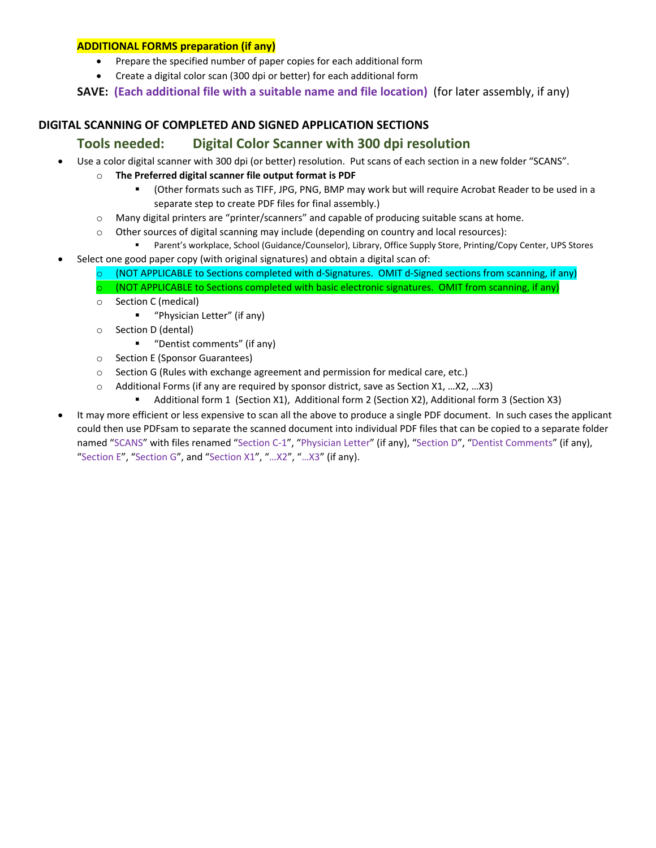#### **ADDITIONAL FORMS preparation (if any)**

- Prepare the specified number of paper copies for each additional form
- Create a digital color scan (300 dpi or better) for each additional form

**SAVE: (Each additional file with a suitable name and file location)** (for later assembly, if any)

#### **DIGITAL SCANNING OF COMPLETED AND SIGNED APPLICATION SECTIONS**

### **Tools needed: Digital Color Scanner with 300 dpi resolution**

- Use a color digital scanner with 300 dpi (or better) resolution. Put scans of each section in a new folder "SCANS".
	- o **The Preferred digital scanner file output format is PDF**
		- (Other formats such as TIFF, JPG, PNG, BMP may work but will require Acrobat Reader to be used in a separate step to create PDF files for final assembly.)
	- o Many digital printers are "printer/scanners" and capable of producing suitable scans at home.
	- $\circ$  Other sources of digital scanning may include (depending on country and local resources):
	- Parent's workplace, School (Guidance/Counselor), Library, Office Supply Store, Printing/Copy Center, UPS Stores Select one good paper copy (with original signatures) and obtain a digital scan of:
		- $\circ$  (NOT APPLICABLE to Sections completed with d-Signatures. OMIT d-Signed sections from scanning, if any)  $\circ$  (NOT APPLICABLE to Sections completed with basic electronic signatures. OMIT from scanning, if any)
		- o Section C (medical)
			- "Physician Letter" (if any)
		- o Section D (dental)
			- "Dentist comments" (if any)
		- o Section E (Sponsor Guarantees)
		- o Section G (Rules with exchange agreement and permission for medical care, etc.)
		- o Additional Forms (if any are required by sponsor district, save as Section X1, …X2, …X3)
			- Additional form 1 (Section X1), Additional form 2 (Section X2), Additional form 3 (Section X3)
- It may more efficient or less expensive to scan all the above to produce a single PDF document. In such cases the applicant could then use PDFsam to separate the scanned document into individual PDF files that can be copied to a separate folder named "SCANS" with files renamed "Section C‐1", "Physician Letter" (if any), "Section D", "Dentist Comments" (if any), "Section E", "Section G", and "Section X1", "…X2", "…X3" (if any).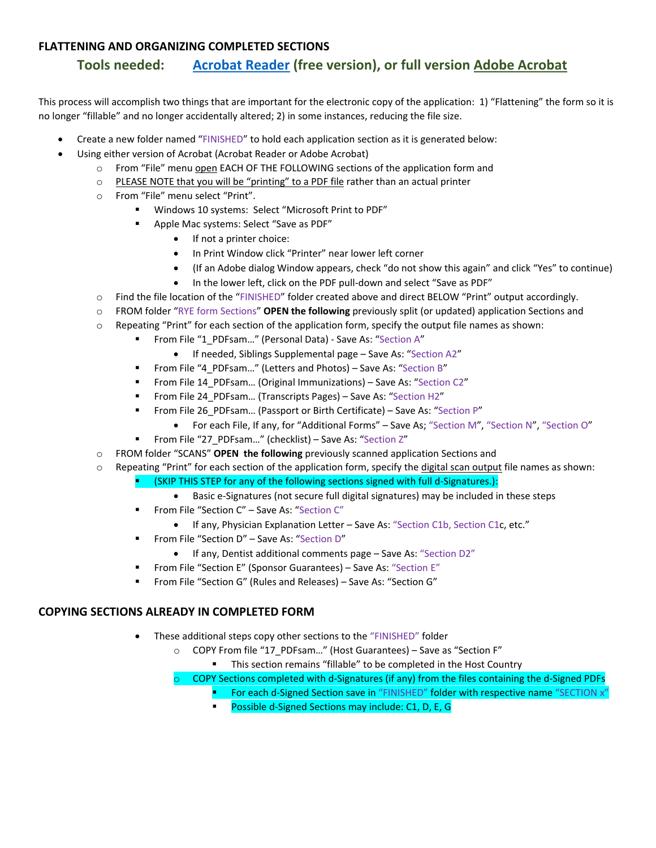#### **FLATTENING AND ORGANIZING COMPLETED SECTIONS**

### **Tools needed: Acrobat Reader (free version), or full version Adobe Acrobat**

This process will accomplish two things that are important for the electronic copy of the application: 1) "Flattening" the form so it is no longer "fillable" and no longer accidentally altered; 2) in some instances, reducing the file size.

- Create a new folder named "FINISHED" to hold each application section as it is generated below:
- Using either version of Acrobat (Acrobat Reader or Adobe Acrobat)
	- o From "File" menu open EACH OF THE FOLLOWING sections of the application form and
	- o PLEASE NOTE that you will be "printing" to a PDF file rather than an actual printer
	- o From "File" menu select "Print".
		- Windows 10 systems: Select "Microsoft Print to PDF"
		- **Apple Mac systems: Select "Save as PDF"** 
			- If not a printer choice:
			- In Print Window click "Printer" near lower left corner
			- (If an Adobe dialog Window appears, check "do not show this again" and click "Yes" to continue)
			- In the lower left, click on the PDF pull‐down and select "Save as PDF"
	- o Find the file location of the "FINISHED" folder created above and direct BELOW "Print" output accordingly.
	- o FROM folder "RYE form Sections" **OPEN the following** previously split (or updated) application Sections and
	- $\circ$  Repeating "Print" for each section of the application form, specify the output file names as shown:
		- From File "1\_PDFsam..." (Personal Data) Save As: "Section A"
			- If needed, Siblings Supplemental page Save As: "Section A2"
		- **From File "4 PDFsam..." (Letters and Photos) Save As: "Section B"**
		- From File 14\_PDFsam… (Original Immunizations) Save As: "Section C2"
		- From File 24 PDFsam... (Transcripts Pages) Save As: "Section H2"
		- From File 26 PDFsam... (Passport or Birth Certificate) Save As: "Section P"
			- For each File, If any, for "Additional Forms" Save As; "Section M", "Section N", "Section O"
		- From File "27\_PDFsam..." (checklist) Save As: "Section Z"
	- o FROM folder "SCANS" **OPEN the following** previously scanned application Sections and
	- o Repeating "Print" for each section of the application form, specify the digital scan output file names as shown:
		- (SKIP THIS STEP for any of the following sections signed with full d-Signatures.):
			- Basic e-Signatures (not secure full digital signatures) may be included in these steps
		- From File "Section C" Save As: "Section C"
			- If any, Physician Explanation Letter Save As: "Section C1b, Section C1c, etc."
		- From File "Section D" Save As: "Section D"
			- If any, Dentist additional comments page Save As: "Section D2"
		- **From File "Section E" (Sponsor Guarantees) Save As: "Section E"**
		- From File "Section G" (Rules and Releases) Save As: "Section G"

#### **COPYING SECTIONS ALREADY IN COMPLETED FORM**

- These additional steps copy other sections to the "FINISHED" folder
	- o COPY From file "17\_PDFsam…" (Host Guarantees) Save as "Section F"
		- **This section remains "fillable" to be completed in the Host Country**
	- COPY Sections completed with d-Signatures (if any) from the files containing the d-Signed PDFs
		- For each d-Signed Section save in "FINISHED" folder with respective name "SECTION x"
			- Possible d-Signed Sections may include: C1, D, E, G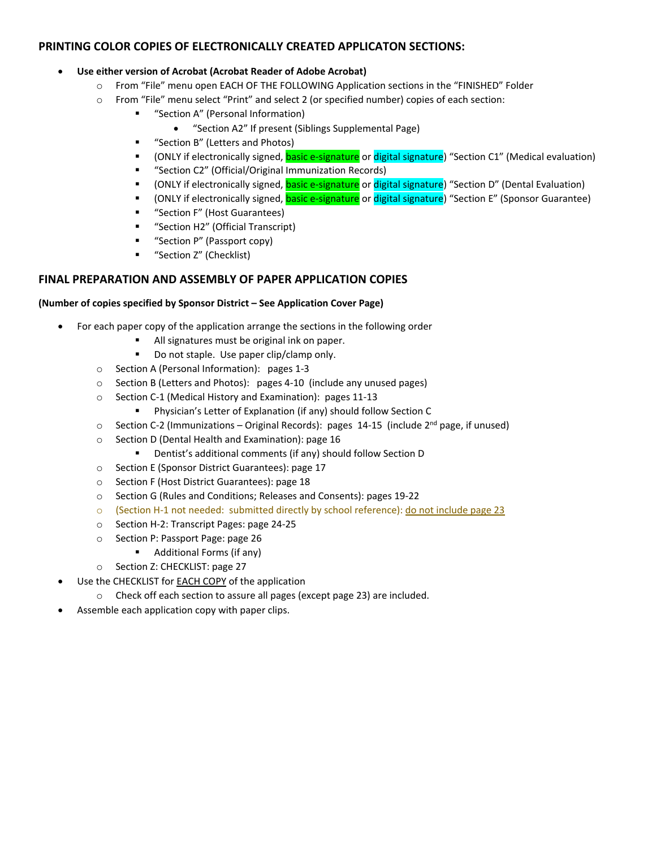#### **PRINTING COLOR COPIES OF ELECTRONICALLY CREATED APPLICATON SECTIONS:**

#### **Use either version of Acrobat (Acrobat Reader of Adobe Acrobat)**

- o From "File" menu open EACH OF THE FOLLOWING Application sections in the "FINISHED" Folder
- o From "File" menu select "Print" and select 2 (or specified number) copies of each section:
	- "Section A" (Personal Information)
		- "Section A2" If present (Siblings Supplemental Page)
	- "Section B" (Letters and Photos)
	- (ONLY if electronically signed, **basic e-signature** or digital signature) "Section C1" (Medical evaluation)
	- "Section C2" (Official/Original Immunization Records)
	- (ONLY if electronically signed, basic e-signature or digital signature) "Section D" (Dental Evaluation)
	- (ONLY if electronically signed, **basic e-signature** or digital signature) "Section E" (Sponsor Guarantee)
	- **"** "Section F" (Host Guarantees)
	- "Section H2" (Official Transcript)
	- **"** "Section P" (Passport copy)
	- "Section Z" (Checklist)

#### **FINAL PREPARATION AND ASSEMBLY OF PAPER APPLICATION COPIES**

#### **(Number of copies specified by Sponsor District – See Application Cover Page)**

- For each paper copy of the application arrange the sections in the following order
	- All signatures must be original ink on paper.
	- Do not staple. Use paper clip/clamp only.
	- o Section A (Personal Information): pages 1‐3
	- o Section B (Letters and Photos): pages 4‐10 (include any unused pages)
	- o Section C‐1 (Medical History and Examination): pages 11‐13
		- Physician's Letter of Explanation (if any) should follow Section C
	- $\circ$  Section C-2 (Immunizations Original Records): pages 14-15 (include  $2^{nd}$  page, if unused)
	- o Section D (Dental Health and Examination): page 16
		- Dentist's additional comments (if any) should follow Section D
	- o Section E (Sponsor District Guarantees): page 17
	- o Section F (Host District Guarantees): page 18
	- o Section G (Rules and Conditions; Releases and Consents): pages 19‐22
	- (Section H-1 not needed: submitted directly by school reference): do not include page 23
	- o Section H‐2: Transcript Pages: page 24‐25
	- o Section P: Passport Page: page 26
		- Additional Forms (if any)
	- o Section Z: CHECKLIST: page 27
- Use the CHECKLIST for EACH COPY of the application
	- o Check off each section to assure all pages (except page 23) are included.
- Assemble each application copy with paper clips.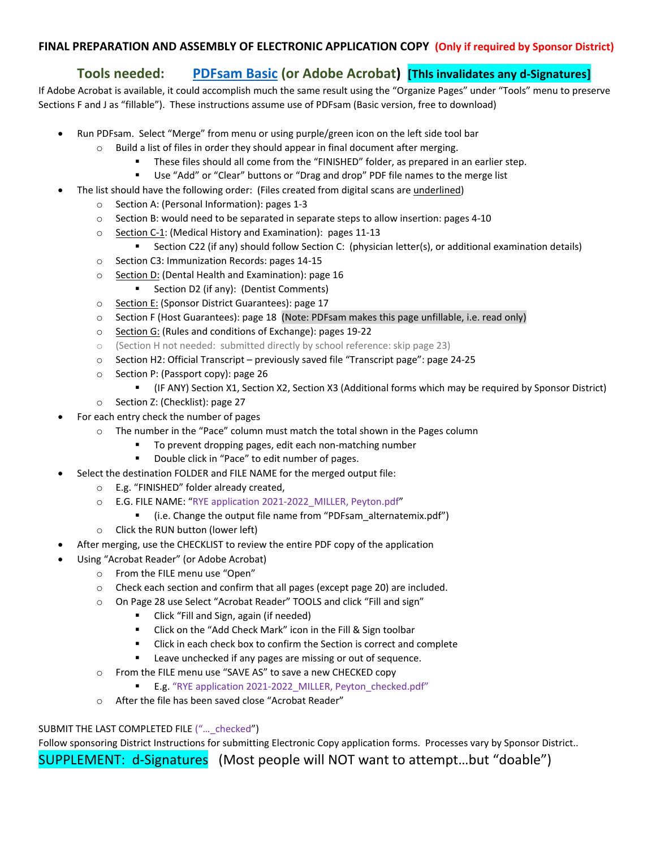#### **FINAL PREPARATION AND ASSEMBLY OF ELECTRONIC APPLICATION COPY (Only if required by Sponsor District)**

### **Tools needed: PDFsam Basic (or Adobe Acrobat) [ThIs invalidates any d‐Signatures]**

If Adobe Acrobat is available, it could accomplish much the same result using the "Organize Pages" under "Tools" menu to preserve Sections F and J as "fillable"). These instructions assume use of PDFsam (Basic version, free to download)

- Run PDFsam. Select "Merge" from menu or using purple/green icon on the left side tool bar
	- o Build a list of files in order they should appear in final document after merging.
		- These files should all come from the "FINISHED" folder, as prepared in an earlier step.
		- Use "Add" or "Clear" buttons or "Drag and drop" PDF file names to the merge list
	- The list should have the following order: (Files created from digital scans are underlined)
		- o Section A: (Personal Information): pages 1‐3
		- o Section B: would need to be separated in separate steps to allow insertion: pages 4‐10
		- o Section C‐1: (Medical History and Examination): pages 11‐13
			- Section C22 (if any) should follow Section C: (physician letter(s), or additional examination details)
		- o Section C3: Immunization Records: pages 14‐15
		- o Section D: (Dental Health and Examination): page 16
			- **Section D2 (if any): (Dentist Comments)**
		- o Section E: (Sponsor District Guarantees): page 17
		- o Section F (Host Guarantees): page 18 (Note: PDFsam makes this page unfillable, i.e. read only)
		- o Section G: (Rules and conditions of Exchange): pages 19‐22
		- o (Section H not needed: submitted directly by school reference: skip page 23)
		- o Section H2: Official Transcript previously saved file "Transcript page": page 24‐25
		- o Section P: (Passport copy): page 26
			- (IF ANY) Section X1, Section X2, Section X3 (Additional forms which may be required by Sponsor District)
		- o Section Z: (Checklist): page 27
- For each entry check the number of pages
	- o The number in the "Pace" column must match the total shown in the Pages column
		- To prevent dropping pages, edit each non‐matching number
		- Double click in "Pace" to edit number of pages.
- Select the destination FOLDER and FILE NAME for the merged output file:
	- o E.g. "FINISHED" folder already created,
	- o E.G. FILE NAME: "RYE application 2021‐2022\_MILLER, Peyton.pdf"
		- (i.e. Change the output file name from "PDFsam\_alternatemix.pdf")
	- o Click the RUN button (lower left)
- After merging, use the CHECKLIST to review the entire PDF copy of the application
- Using "Acrobat Reader" (or Adobe Acrobat)
	- o From the FILE menu use "Open"
	- $\circ$  Check each section and confirm that all pages (except page 20) are included.
	- o On Page 28 use Select "Acrobat Reader" TOOLS and click "Fill and sign"
		- Click "Fill and Sign, again (if needed)
		- Click on the "Add Check Mark" icon in the Fill & Sign toolbar
		- Click in each check box to confirm the Section is correct and complete
		- **EXECT** Leave unchecked if any pages are missing or out of sequence.
	- o From the FILE menu use "SAVE AS" to save a new CHECKED copy
		- E.g. "RYE application 2021-2022\_MILLER, Peyton\_checked.pdf"
	- o After the file has been saved close "Acrobat Reader"

#### SUBMIT THE LAST COMPLETED FILE ("... checked")

Follow sponsoring District Instructions for submitting Electronic Copy application forms. Processes vary by Sponsor District..

SUPPLEMENT: d‐Signatures (Most people will NOT want to attempt…but "doable")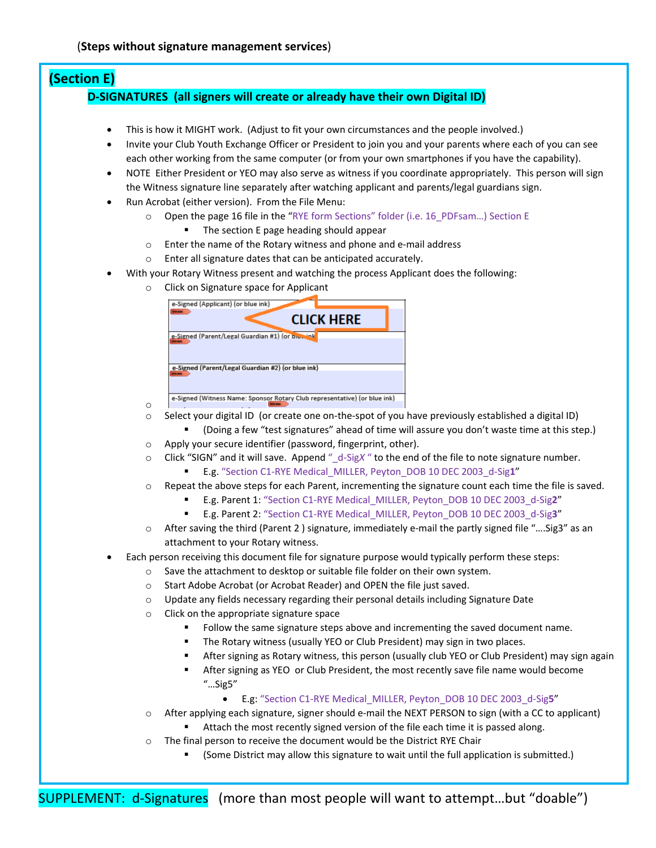# **(Section E)**

#### **D‐SIGNATURES (all signers will create or already have their own Digital ID)**

- This is how it MIGHT work. (Adjust to fit your own circumstances and the people involved.)
- Invite your Club Youth Exchange Officer or President to join you and your parents where each of you can see each other working from the same computer (or from your own smartphones if you have the capability).
- NOTE Either President or YEO may also serve as witness if you coordinate appropriately. This person will sign the Witness signature line separately after watching applicant and parents/legal guardians sign.
- Run Acrobat (either version). From the File Menu:
	- o Open the page 16 file in the "RYE form Sections" folder (i.e. 16\_PDFsam…) Section E
		- **The section E page heading should appear**
	- o Enter the name of the Rotary witness and phone and e‐mail address
	- o Enter all signature dates that can be anticipated accurately.
- With your Rotary Witness present and watching the process Applicant does the following:
	- o Click on Signature space for Applicant

| e-Signed (Applicant) (or blue ink)                                        |                   |  |
|---------------------------------------------------------------------------|-------------------|--|
|                                                                           | <b>CLICK HERE</b> |  |
| e-Signed (Parent/Legal Guardian #1) (or biddeink                          |                   |  |
| e-Signed (Parent/Legal Guardian #2) (or blue ink)<br><b>STATISTICS</b>    |                   |  |
| e-Signed (Witness Name: Sponsor Rotary Club representative) (or blue ink) |                   |  |

- o Select your digital ID (or create one on‐the‐spot of you have previously established a digital ID)
	- (Doing a few "test signatures" ahead of time will assure you don't waste time at this step.)
- $\circ$  Apply your secure identifier (password, fingerprint, other).
- o Click "SIGN" and it will save. Append "\_d‐Sig*X* " to the end of the file to note signature number.
	- E.g. "Section C1‐RYE Medical\_MILLER, Peyton\_DOB 10 DEC 2003\_d‐Sig**1**"
- o Repeat the above steps for each Parent, incrementing the signature count each time the file is saved.
	- E.g. Parent 1: "Section C1‐RYE Medical\_MILLER, Peyton\_DOB 10 DEC 2003\_d‐Sig**2**"
	- E.g. Parent 2: "Section C1‐RYE Medical\_MILLER, Peyton\_DOB 10 DEC 2003\_d‐Sig**3**"
- o After saving the third (Parent 2 ) signature, immediately e‐mail the partly signed file "….Sig3" as an attachment to your Rotary witness.
- Each person receiving this document file for signature purpose would typically perform these steps:
	- o Save the attachment to desktop or suitable file folder on their own system.
	- o Start Adobe Acrobat (or Acrobat Reader) and OPEN the file just saved.
	- $\circ$  Update any fields necessary regarding their personal details including Signature Date
	- o Click on the appropriate signature space
		- Follow the same signature steps above and incrementing the saved document name.
		- **The Rotary witness (usually YEO or Club President) may sign in two places.**
		- After signing as Rotary witness, this person (usually club YEO or Club President) may sign again
		- **After signing as YEO or Club President, the most recently save file name would become** "…Sig5"
			- E.g: "Section C1‐RYE Medical\_MILLER, Peyton\_DOB 10 DEC 2003\_d‐Sig**5**"
	- o After applying each signature, signer should e‐mail the NEXT PERSON to sign (with a CC to applicant)
		- Attach the most recently signed version of the file each time it is passed along.
	- o The final person to receive the document would be the District RYE Chair
		- (Some District may allow this signature to wait until the full application is submitted.)